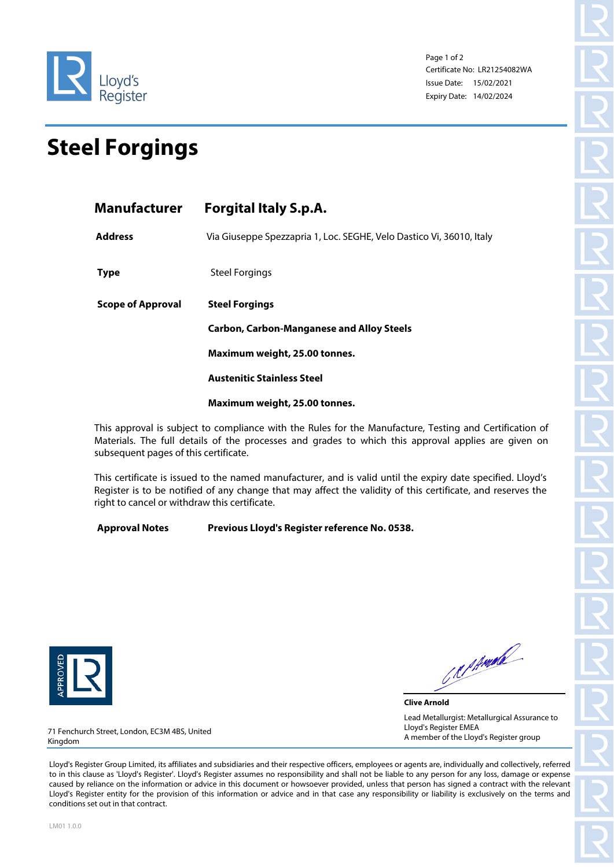

Page 1 of 2 Certificate No: LR21254082WA Issue Date: 15/02/2021 Expiry Date: 14/02/2024

## **Steel Forgings**

| Manufacturer      | <b>Forgital Italy S.p.A.</b>                                              |  |  |
|-------------------|---------------------------------------------------------------------------|--|--|
| <b>Address</b>    | Via Giuseppe Spezzapria 1, Loc. SEGHE, Velo Dastico Vi, 36010, Italy      |  |  |
| <b>Type</b>       | Steel Forgings                                                            |  |  |
| Scope of Approval | <b>Steel Forgings</b><br><b>Carbon, Carbon-Manganese and Alloy Steels</b> |  |  |
|                   |                                                                           |  |  |
|                   | Maximum weight, 25.00 tonnes.                                             |  |  |
|                   | <b>Austenitic Stainless Steel</b>                                         |  |  |
|                   | Maximum weight, 25.00 tonnes.                                             |  |  |
|                   |                                                                           |  |  |

This approval is subject to compliance with the Rules for the Manufacture, Testing and Certification of Materials. The full details of the processes and grades to which this approval applies are given on subsequent pages of this certificate.

This certificate is issued to the named manufacturer, and is valid until the expiry date specified. Lloyd's Register is to be notified of any change that may affect the validity of this certificate, and reserves the right to cancel or withdraw this certificate.

**Approval Notes Previous Lloyd's Register reference No. 0538.** 



CRIPMAR

**Clive Arnold** Lead Metallurgist: Metallurgical Assurance to Lloyd's Register EMEA A member of the Lloyd's Register group

71 Fenchurch Street, London, EC3M 4BS, United Kingdom

Lloyd's Register Group Limited, its affiliates and subsidiaries and their respective officers, employees or agents are, individually and collectively, referred to in this clause as 'Lloyd's Register'. Lloyd's Register assumes no responsibility and shall not be liable to any person for any loss, damage or expense caused by reliance on the information or advice in this document or howsoever provided, unless that person has signed a contract with the relevant Lloyd's Register entity for the provision of this information or advice and in that case any responsibility or liability is exclusively on the terms and conditions set out in that contract.